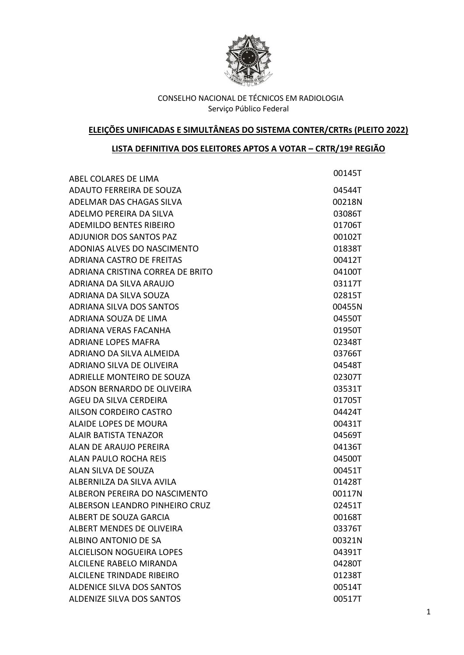

# **ELEIÇÕES UNIFICADAS E SIMULTÂNEAS DO SISTEMA CONTER/CRTRs (PLEITO 2022)**

## **LISTA DEFINITIVA DOS ELEITORES APTOS A VOTAR – CRTR/19ª REGIÃO**

| ABEL COLARES DE LIMA             | 00145T |
|----------------------------------|--------|
| ADAUTO FERREIRA DE SOUZA         | 04544T |
| ADELMAR DAS CHAGAS SILVA         | 00218N |
| ADELMO PEREIRA DA SILVA          | 03086T |
| <b>ADEMILDO BENTES RIBEIRO</b>   | 01706T |
| <b>ADJUNIOR DOS SANTOS PAZ</b>   | 00102T |
| ADONIAS ALVES DO NASCIMENTO      |        |
| <b>ADRIANA CASTRO DE FREITAS</b> | 01838T |
| ADRIANA CRISTINA CORREA DE BRITO | 00412T |
| ADRIANA DA SILVA ARAUJO          | 04100T |
|                                  | 03117T |
| ADRIANA DA SILVA SOUZA           | 02815T |
| <b>ADRIANA SILVA DOS SANTOS</b>  | 00455N |
| ADRIANA SOUZA DE LIMA            | 04550T |
| ADRIANA VERAS FACANHA            | 01950T |
| <b>ADRIANE LOPES MAFRA</b>       | 02348T |
| ADRIANO DA SILVA ALMEIDA         | 03766T |
| <b>ADRIANO SILVA DE OLIVEIRA</b> | 04548T |
| ADRIELLE MONTEIRO DE SOUZA       | 02307T |
| ADSON BERNARDO DE OLIVEIRA       | 03531T |
| AGEU DA SILVA CERDEIRA           | 01705T |
| <b>AILSON CORDEIRO CASTRO</b>    | 04424T |
| ALAIDE LOPES DE MOURA            | 00431T |
| <b>ALAIR BATISTA TENAZOR</b>     | 04569T |
| ALAN DE ARAUJO PEREIRA           | 04136T |
| <b>ALAN PAULO ROCHA REIS</b>     | 04500T |
| ALAN SILVA DE SOUZA              | 00451T |
| ALBERNILZA DA SILVA AVILA        | 01428T |
| ALBERON PEREIRA DO NASCIMENTO    | 00117N |
| ALBERSON LEANDRO PINHEIRO CRUZ   | 02451T |
| ALBERT DE SOUZA GARCIA           | 00168T |
| <b>ALBERT MENDES DE OLIVEIRA</b> | 03376T |
| ALBINO ANTONIO DE SA             | 00321N |
| <b>ALCIELISON NOGUEIRA LOPES</b> | 04391T |
| ALCILENE RABELO MIRANDA          | 04280T |
| <b>ALCILENE TRINDADE RIBEIRO</b> | 01238T |
| <b>ALDENICE SILVA DOS SANTOS</b> | 00514T |
| <b>ALDENIZE SILVA DOS SANTOS</b> | 00517T |
|                                  |        |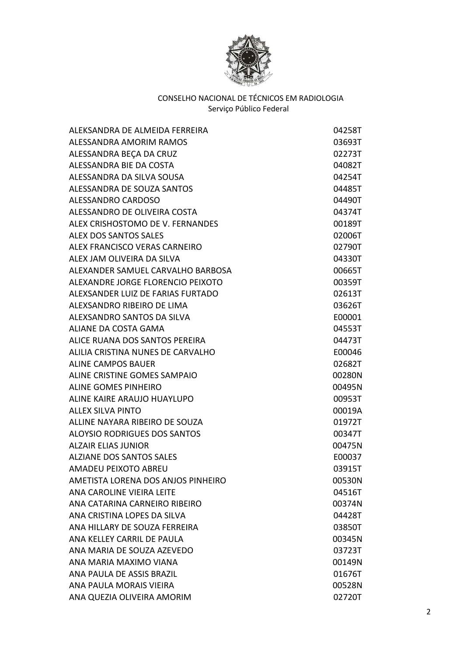

| ALEKSANDRA DE ALMEIDA FERREIRA      | 04258T |
|-------------------------------------|--------|
| ALESSANDRA AMORIM RAMOS             | 03693T |
| ALESSANDRA BEÇA DA CRUZ             | 02273T |
| ALESSANDRA BIE DA COSTA             | 04082T |
| ALESSANDRA DA SILVA SOUSA           | 04254T |
| ALESSANDRA DE SOUZA SANTOS          | 04485T |
| ALESSANDRO CARDOSO                  | 04490T |
| ALESSANDRO DE OLIVEIRA COSTA        | 04374T |
| ALEX CRISHOSTOMO DE V. FERNANDES    | 00189T |
| ALEX DOS SANTOS SALES               | 02006T |
| ALEX FRANCISCO VERAS CARNEIRO       | 02790T |
| ALEX JAM OLIVEIRA DA SILVA          | 04330T |
| ALEXANDER SAMUEL CARVALHO BARBOSA   | 00665T |
| ALEXANDRE JORGE FLORENCIO PEIXOTO   | 00359T |
| ALEXSANDER LUIZ DE FARIAS FURTADO   | 02613T |
| ALEXSANDRO RIBEIRO DE LIMA          | 03626T |
| ALEXSANDRO SANTOS DA SILVA          | E00001 |
| ALIANE DA COSTA GAMA                | 04553T |
| ALICE RUANA DOS SANTOS PEREIRA      | 04473T |
| ALILIA CRISTINA NUNES DE CARVALHO   | E00046 |
| <b>ALINE CAMPOS BAUER</b>           | 02682T |
| ALINE CRISTINE GOMES SAMPAIO        | 00280N |
| <b>ALINE GOMES PINHEIRO</b>         | 00495N |
| ALINE KAIRE ARAUJO HUAYLUPO         | 00953T |
| ALLEX SILVA PINTO                   | 00019A |
| ALLINE NAYARA RIBEIRO DE SOUZA      | 01972T |
| <b>ALOYSIO RODRIGUES DOS SANTOS</b> | 00347T |
| <b>ALZAIR ELIAS JUNIOR</b>          | 00475N |
| <b>ALZIANE DOS SANTOS SALES</b>     | E00037 |
| AMADEU PEIXOTO ABREU                | 03915T |
| AMETISTA LORENA DOS ANJOS PINHEIRO  | 00530N |
| ANA CAROLINE VIEIRA LEITE           | 04516T |
| ANA CATARINA CARNEIRO RIBEIRO       | 00374N |
| ANA CRISTINA LOPES DA SILVA         | 04428T |
| ANA HILLARY DE SOUZA FERREIRA       | 03850T |
| ANA KELLEY CARRIL DE PAULA          | 00345N |
| ANA MARIA DE SOUZA AZEVEDO          | 03723T |
| ANA MARIA MAXIMO VIANA              | 00149N |
| ANA PAULA DE ASSIS BRAZIL           | 01676T |
| ANA PAULA MORAIS VIEIRA             | 00528N |
| ANA QUEZIA OLIVEIRA AMORIM          | 02720T |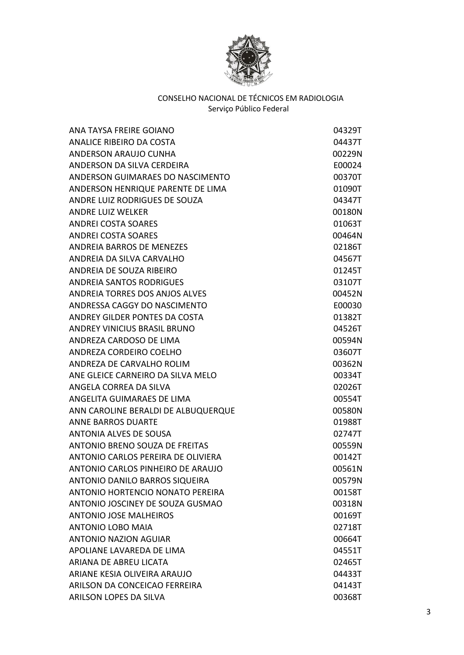

| ANA TAYSA FREIRE GOIANO               | 04329T |
|---------------------------------------|--------|
| ANALICE RIBEIRO DA COSTA              | 04437T |
| ANDERSON ARAUJO CUNHA                 | 00229N |
| ANDERSON DA SILVA CERDEIRA            | E00024 |
| ANDERSON GUIMARAES DO NASCIMENTO      | 00370T |
| ANDERSON HENRIQUE PARENTE DE LIMA     | 01090T |
| ANDRE LUIZ RODRIGUES DE SOUZA         | 04347T |
| <b>ANDRE LUIZ WELKER</b>              | 00180N |
| <b>ANDREI COSTA SOARES</b>            | 01063T |
| <b>ANDREI COSTA SOARES</b>            | 00464N |
| <b>ANDREIA BARROS DE MENEZES</b>      | 02186T |
| ANDREIA DA SILVA CARVALHO             | 04567T |
| ANDREIA DE SOUZA RIBEIRO              | 01245T |
| <b>ANDREIA SANTOS RODRIGUES</b>       | 03107T |
| ANDREIA TORRES DOS ANJOS ALVES        | 00452N |
| ANDRESSA CAGGY DO NASCIMENTO          | E00030 |
| ANDREY GILDER PONTES DA COSTA         | 01382T |
| <b>ANDREY VINICIUS BRASIL BRUNO</b>   | 04526T |
| ANDREZA CARDOSO DE LIMA               | 00594N |
| ANDREZA CORDEIRO COELHO               | 03607T |
| ANDREZA DE CARVALHO ROLIM             | 00362N |
| ANE GLEICE CARNEIRO DA SILVA MELO     | 00334T |
| ANGELA CORREA DA SILVA                | 02026T |
| ANGELITA GUIMARAES DE LIMA            | 00554T |
| ANN CAROLINE BERALDI DE ALBUQUERQUE   | 00580N |
| <b>ANNE BARROS DUARTE</b>             | 01988T |
| <b>ANTONIA ALVES DE SOUSA</b>         | 02747T |
| <b>ANTONIO BRENO SOUZA DE FREITAS</b> | 00559N |
| ANTONIO CARLOS PEREIRA DE OLIVIERA    | 00142T |
| ANTONIO CARLOS PINHEIRO DE ARAUJO     | 00561N |
| ANTONIO DANILO BARROS SIQUEIRA        | 00579N |
| ANTONIO HORTENCIO NONATO PEREIRA      | 00158T |
| ANTONIO JOSCINEY DE SOUZA GUSMAO      | 00318N |
| <b>ANTONIO JOSE MALHEIROS</b>         | 00169T |
| <b>ANTONIO LOBO MAIA</b>              | 02718T |
| <b>ANTONIO NAZION AGUIAR</b>          | 00664T |
| APOLIANE LAVAREDA DE LIMA             | 04551T |
| ARIANA DE ABREU LICATA                | 02465T |
| ARIANE KESIA OLIVEIRA ARAUJO          | 04433T |
| ARILSON DA CONCEICAO FERREIRA         | 04143T |
| ARILSON LOPES DA SILVA                | 00368T |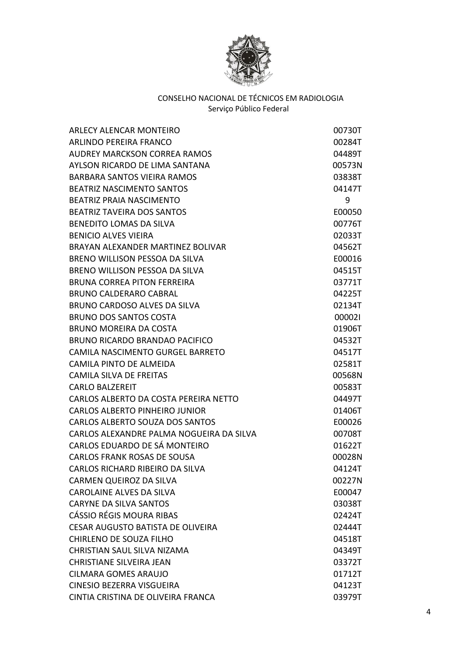

| ARLECY ALENCAR MONTEIRO                  | 00730T |
|------------------------------------------|--------|
| ARLINDO PEREIRA FRANCO                   | 00284T |
| <b>AUDREY MARCKSON CORREA RAMOS</b>      | 04489T |
| AYLSON RICARDO DE LIMA SANTANA           | 00573N |
| BARBARA SANTOS VIEIRA RAMOS              | 03838T |
| <b>BEATRIZ NASCIMENTO SANTOS</b>         | 04147T |
| <b>BEATRIZ PRAIA NASCIMENTO</b>          | 9      |
| <b>BEATRIZ TAVEIRA DOS SANTOS</b>        | E00050 |
| BENEDITO LOMAS DA SILVA                  | 00776T |
| <b>BENICIO ALVES VIEIRA</b>              | 02033T |
| BRAYAN ALEXANDER MARTINEZ BOLIVAR        | 04562T |
| BRENO WILLISON PESSOA DA SILVA           | E00016 |
| BRENO WILLISON PESSOA DA SILVA           | 04515T |
| <b>BRUNA CORREA PITON FERREIRA</b>       | 03771T |
| <b>BRUNO CALDERARO CABRAL</b>            | 04225T |
| BRUNO CARDOSO ALVES DA SILVA             | 02134T |
| <b>BRUNO DOS SANTOS COSTA</b>            | 000021 |
| BRUNO MOREIRA DA COSTA                   | 01906T |
| BRUNO RICARDO BRANDAO PACIFICO           | 04532T |
| CAMILA NASCIMENTO GURGEL BARRETO         | 04517T |
| CAMILA PINTO DE ALMEIDA                  | 02581T |
| <b>CAMILA SILVA DE FREITAS</b>           | 00568N |
| <b>CARLO BALZEREIT</b>                   | 00583T |
| CARLOS ALBERTO DA COSTA PEREIRA NETTO    | 04497T |
| <b>CARLOS ALBERTO PINHEIRO JUNIOR</b>    | 01406T |
| CARLOS ALBERTO SOUZA DOS SANTOS          | E00026 |
| CARLOS ALEXANDRE PALMA NOGUEIRA DA SILVA | 00708T |
| CARLOS EDUARDO DE SÁ MONTEIRO            | 01622T |
| <b>CARLOS FRANK ROSAS DE SOUSA</b>       | 00028N |
| CARLOS RICHARD RIBEIRO DA SILVA          | 04124T |
| CARMEN QUEIROZ DA SILVA                  | 00227N |
| <b>CAROLAINE ALVES DA SILVA</b>          | E00047 |
| <b>CARYNE DA SILVA SANTOS</b>            | 03038T |
| CÁSSIO RÉGIS MOURA RIBAS                 | 02424T |
| <b>CESAR AUGUSTO BATISTA DE OLIVEIRA</b> | 02444T |
| CHIRLENO DE SOUZA FILHO                  | 04518T |
| <b>CHRISTIAN SAUL SILVA NIZAMA</b>       | 04349T |
| <b>CHRISTIANE SILVEIRA JEAN</b>          | 03372T |
| <b>CILMARA GOMES ARAUJO</b>              | 01712T |
| CINESIO BEZERRA VISGUEIRA                | 04123T |
| CINTIA CRISTINA DE OLIVEIRA FRANCA       | 03979T |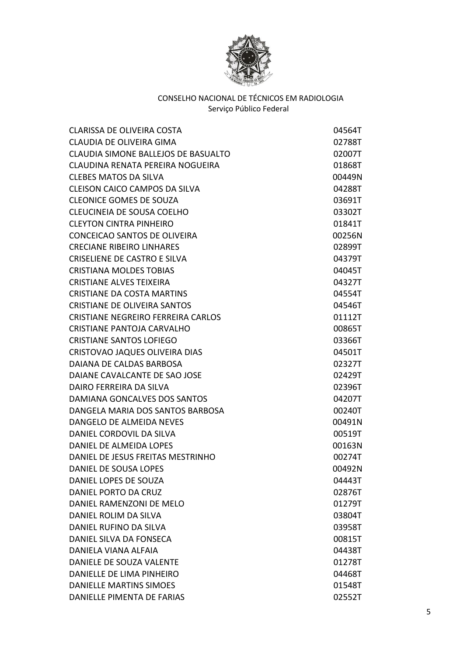

| CLARISSA DE OLIVEIRA COSTA           | 04564T |
|--------------------------------------|--------|
| CLAUDIA DE OLIVEIRA GIMA             | 02788T |
| CLAUDIA SIMONE BALLEJOS DE BASUALTO  | 02007T |
| CLAUDINA RENATA PEREIRA NOGUEIRA     | 01868T |
| <b>CLEBES MATOS DA SILVA</b>         | 00449N |
| <b>CLEISON CAICO CAMPOS DA SILVA</b> | 04288T |
| <b>CLEONICE GOMES DE SOUZA</b>       | 03691T |
| CLEUCINEIA DE SOUSA COELHO           | 03302T |
| <b>CLEYTON CINTRA PINHEIRO</b>       | 01841T |
| CONCEICAO SANTOS DE OLIVEIRA         | 00256N |
| <b>CRECIANE RIBEIRO LINHARES</b>     | 02899T |
| CRISELIENE DE CASTRO E SILVA         | 04379T |
| <b>CRISTIANA MOLDES TOBIAS</b>       | 04045T |
| <b>CRISTIANE ALVES TEIXEIRA</b>      | 04327T |
| <b>CRISTIANE DA COSTA MARTINS</b>    | 04554T |
| <b>CRISTIANE DE OLIVEIRA SANTOS</b>  | 04546T |
| CRISTIANE NEGREIRO FERREIRA CARLOS   | 01112T |
| <b>CRISTIANE PANTOJA CARVALHO</b>    | 00865T |
| <b>CRISTIANE SANTOS LOFIEGO</b>      | 03366T |
| CRISTOVAO JAQUES OLIVEIRA DIAS       | 04501T |
| DAIANA DE CALDAS BARBOSA             | 02327T |
| DAIANE CAVALCANTE DE SAO JOSE        | 02429T |
| DAIRO FERREIRA DA SILVA              | 02396T |
| DAMIANA GONCALVES DOS SANTOS         | 04207T |
| DANGELA MARIA DOS SANTOS BARBOSA     | 00240T |
| DANGELO DE ALMEIDA NEVES             | 00491N |
| DANIEL CORDOVIL DA SILVA             | 00519T |
| DANIEL DE ALMEIDA LOPES              | 00163N |
| DANIEL DE JESUS FREITAS MESTRINHO    | 00274T |
| DANIEL DE SOUSA LOPES                | 00492N |
| DANIEL LOPES DE SOUZA                | 04443T |
| DANIEL PORTO DA CRUZ                 | 02876T |
| DANIEL RAMENZONI DE MELO             | 01279T |
| DANIEL ROLIM DA SILVA                | 03804T |
| <b>DANIEL RUFINO DA SILVA</b>        | 03958T |
| DANIEL SILVA DA FONSECA              | 00815T |
| DANIELA VIANA ALFAIA                 | 04438T |
| <b>DANIELE DE SOUZA VALENTE</b>      | 01278T |
| DANIELLE DE LIMA PINHEIRO            | 04468T |
| <b>DANIELLE MARTINS SIMOES</b>       | 01548T |
| DANIELLE PIMENTA DE FARIAS           | 02552T |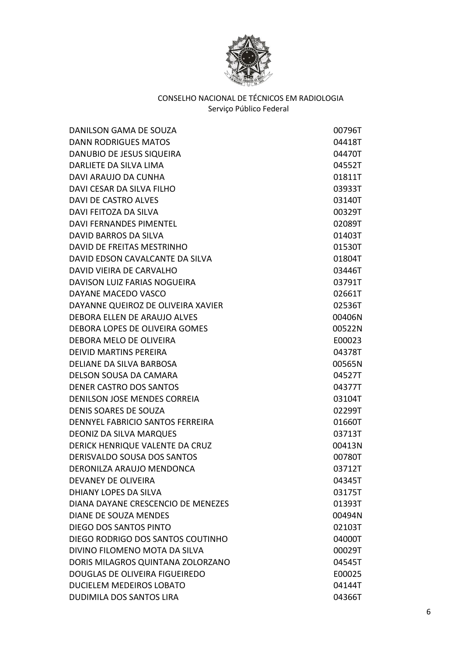

| DANILSON GAMA DE SOUZA             | 00796T |
|------------------------------------|--------|
| <b>DANN RODRIGUES MATOS</b>        | 04418T |
| DANUBIO DE JESUS SIQUEIRA          | 04470T |
| DARLIETE DA SILVA LIMA             | 04552T |
| DAVI ARAUJO DA CUNHA               | 01811T |
| DAVI CESAR DA SILVA FILHO          | 03933T |
| <b>DAVI DE CASTRO ALVES</b>        | 03140T |
| DAVI FEITOZA DA SILVA              | 00329T |
| <b>DAVI FERNANDES PIMENTEL</b>     | 02089T |
| <b>DAVID BARROS DA SILVA</b>       | 01403T |
| DAVID DE FREITAS MESTRINHO         | 01530T |
| DAVID EDSON CAVALCANTE DA SILVA    | 01804T |
| DAVID VIEIRA DE CARVALHO           | 03446T |
| DAVISON LUIZ FARIAS NOGUEIRA       | 03791T |
| DAYANE MACEDO VASCO                | 02661T |
| DAYANNE QUEIROZ DE OLIVEIRA XAVIER | 02536T |
| DEBORA ELLEN DE ARAUJO ALVES       | 00406N |
| DEBORA LOPES DE OLIVEIRA GOMES     | 00522N |
| DEBORA MELO DE OLIVEIRA            | E00023 |
| <b>DEIVID MARTINS PEREIRA</b>      | 04378T |
| DELIANE DA SILVA BARBOSA           | 00565N |
| DELSON SOUSA DA CAMARA             | 04527T |
| <b>DENER CASTRO DOS SANTOS</b>     | 04377T |
| DENILSON JOSE MENDES CORREIA       | 03104T |
| <b>DENIS SOARES DE SOUZA</b>       | 02299T |
| DENNYEL FABRICIO SANTOS FERREIRA   | 01660T |
| <b>DEONIZ DA SILVA MARQUES</b>     | 03713T |
| DERICK HENRIQUE VALENTE DA CRUZ    | 00413N |
| <b>DERISVALDO SOUSA DOS SANTOS</b> | 00780T |
| DERONILZA ARAUJO MENDONCA          | 03712T |
| DEVANEY DE OLIVEIRA                | 04345T |
| DHIANY LOPES DA SILVA              | 03175T |
| DIANA DAYANE CRESCENCIO DE MENEZES | 01393T |
| <b>DIANE DE SOUZA MENDES</b>       | 00494N |
| DIEGO DOS SANTOS PINTO             | 02103T |
| DIEGO RODRIGO DOS SANTOS COUTINHO  | 04000T |
| DIVINO FILOMENO MOTA DA SILVA      | 00029T |
| DORIS MILAGROS QUINTANA ZOLORZANO  | 04545T |
| DOUGLAS DE OLIVEIRA FIGUEIREDO     | E00025 |
| <b>DUCIELEM MEDEIROS LOBATO</b>    | 04144T |
| <b>DUDIMILA DOS SANTOS LIRA</b>    | 04366T |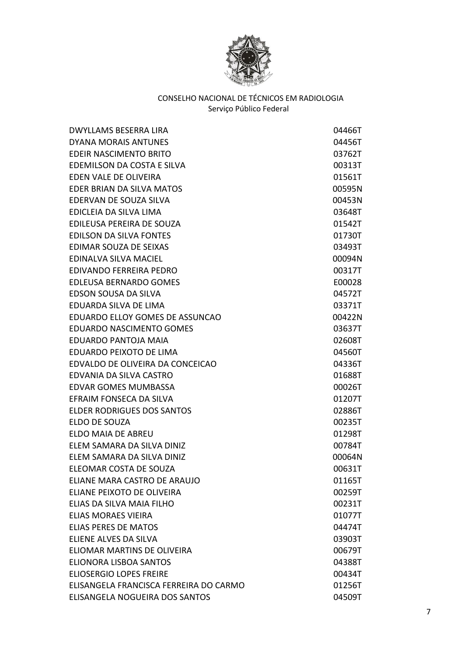

| <b>DWYLLAMS BESERRA LIRA</b>           | 04466T |
|----------------------------------------|--------|
| <b>DYANA MORAIS ANTUNES</b>            | 04456T |
| <b>EDEIR NASCIMENTO BRITO</b>          | 03762T |
| EDEMILSON DA COSTA E SILVA             | 00313T |
| EDEN VALE DE OLIVEIRA                  | 01561T |
| EDER BRIAN DA SILVA MATOS              | 00595N |
| EDERVAN DE SOUZA SILVA                 | 00453N |
| EDICLEIA DA SILVA LIMA                 | 03648T |
| EDILEUSA PEREIRA DE SOUZA              | 01542T |
| <b>EDILSON DA SILVA FONTES</b>         | 01730T |
| EDIMAR SOUZA DE SEIXAS                 | 03493T |
| <b>EDINALVA SILVA MACIEL</b>           | 00094N |
| EDIVANDO FERREIRA PEDRO                | 00317T |
| <b>EDLEUSA BERNARDO GOMES</b>          | E00028 |
| EDSON SOUSA DA SILVA                   | 04572T |
| EDUARDA SILVA DE LIMA                  | 03371T |
| EDUARDO ELLOY GOMES DE ASSUNCAO        | 00422N |
| <b>EDUARDO NASCIMENTO GOMES</b>        | 03637T |
| EDUARDO PANTOJA MAIA                   | 02608T |
| <b>EDUARDO PEIXOTO DE LIMA</b>         | 04560T |
| EDVALDO DE OLIVEIRA DA CONCEICAO       | 04336T |
| EDVANIA DA SILVA CASTRO                | 01688T |
| <b>EDVAR GOMES MUMBASSA</b>            | 00026T |
| EFRAIM FONSECA DA SILVA                | 01207T |
| <b>ELDER RODRIGUES DOS SANTOS</b>      | 02886T |
| ELDO DE SOUZA                          | 00235T |
| ELDO MAIA DE ABREU                     | 01298T |
| ELEM SAMARA DA SILVA DINIZ             | 00784T |
| ELEM SAMARA DA SILVA DINIZ             | 00064N |
| ELEOMAR COSTA DE SOUZA                 | 00631T |
| ELIANE MARA CASTRO DE ARAUJO           | 01165T |
| ELIANE PEIXOTO DE OLIVEIRA             | 00259T |
| ELIAS DA SILVA MAIA FILHO              | 00231T |
| <b>ELIAS MORAES VIEIRA</b>             | 01077T |
| <b>ELIAS PERES DE MATOS</b>            | 04474T |
| ELIENE ALVES DA SILVA                  | 03903T |
| ELIOMAR MARTINS DE OLIVEIRA            | 00679T |
| ELIONORA LISBOA SANTOS                 | 04388T |
| <b>ELIOSERGIO LOPES FREIRE</b>         | 00434T |
| ELISANGELA FRANCISCA FERREIRA DO CARMO | 01256T |
| ELISANGELA NOGUEIRA DOS SANTOS         | 04509T |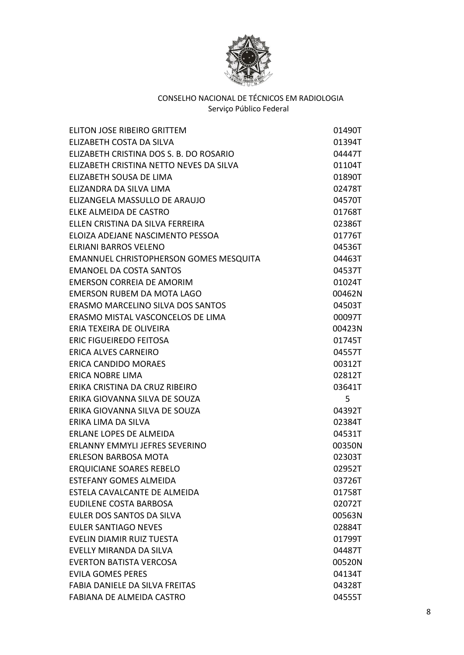

| ELITON JOSE RIBEIRO GRITTEM              | 01490T |
|------------------------------------------|--------|
| ELIZABETH COSTA DA SILVA                 | 01394T |
| ELIZABETH CRISTINA DOS S. B. DO ROSARIO  | 04447T |
| ELIZABETH CRISTINA NETTO NEVES DA SILVA  | 01104T |
| ELIZABETH SOUSA DE LIMA                  | 01890T |
| ELIZANDRA DA SILVA LIMA                  | 02478T |
| ELIZANGELA MASSULLO DE ARAUJO            | 04570T |
| ELKE ALMEIDA DE CASTRO                   | 01768T |
| ELLEN CRISTINA DA SILVA FERREIRA         | 02386T |
| ELOIZA ADEJANE NASCIMENTO PESSOA         | 01776T |
| ELRIANI BARROS VELENO                    | 04536T |
| EMANNUEL CHRISTOPHERSON GOMES MESQUITA   | 04463T |
| <b>EMANOEL DA COSTA SANTOS</b>           | 04537T |
| <b>EMERSON CORREIA DE AMORIM</b>         | 01024T |
| <b>EMERSON RUBEM DA MOTA LAGO</b>        | 00462N |
| <b>ERASMO MARCELINO SILVA DOS SANTOS</b> | 04503T |
| ERASMO MISTAL VASCONCELOS DE LIMA        | 00097T |
| ERIA TEXEIRA DE OLIVEIRA                 | 00423N |
| <b>ERIC FIGUEIREDO FEITOSA</b>           | 01745T |
| <b>ERICA ALVES CARNEIRO</b>              | 04557T |
| <b>ERICA CANDIDO MORAES</b>              | 00312T |
| <b>ERICA NOBRE LIMA</b>                  | 02812T |
| ERIKA CRISTINA DA CRUZ RIBEIRO           | 03641T |
| ERIKA GIOVANNA SILVA DE SOUZA            | 5      |
| ERIKA GIOVANNA SILVA DE SOUZA            | 04392T |
| ERIKA LIMA DA SILVA                      | 02384T |
| <b>ERLANE LOPES DE ALMEIDA</b>           | 04531T |
| <b>ERLANNY EMMYLI JEFRES SEVERINO</b>    | 00350N |
| <b>ERLESON BARBOSA MOTA</b>              | 02303T |
| <b>ERQUICIANE SOARES REBELO</b>          | 02952T |
| <b>ESTEFANY GOMES ALMEIDA</b>            | 03726T |
| ESTELA CAVALCANTE DE ALMEIDA             | 01758T |
| <b>EUDILENE COSTA BARBOSA</b>            | 02072T |
| EULER DOS SANTOS DA SILVA                | 00563N |
| <b>EULER SANTIAGO NEVES</b>              | 02884T |
| EVELIN DIAMIR RUIZ TUESTA                | 01799T |
| EVELLY MIRANDA DA SILVA                  | 04487T |
| <b>EVERTON BATISTA VERCOSA</b>           | 00520N |
| <b>EVILA GOMES PERES</b>                 | 04134T |
| FABIA DANIELE DA SILVA FREITAS           | 04328T |
| FABIANA DE ALMEIDA CASTRO                | 04555T |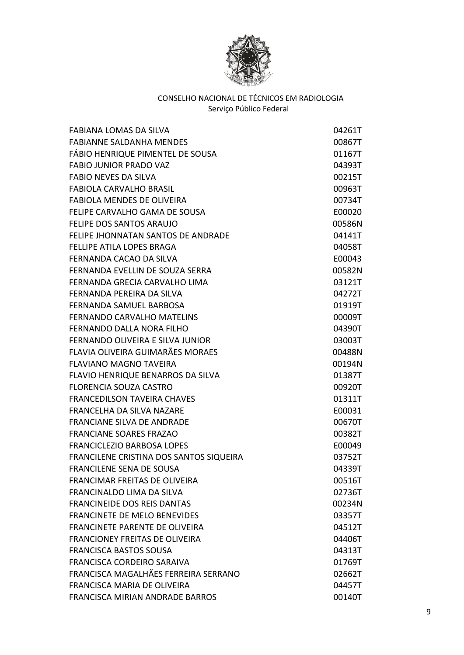

| FABIANA LOMAS DA SILVA                  | 04261T |
|-----------------------------------------|--------|
| <b>FABIANNE SALDANHA MENDES</b>         | 00867T |
| FÁBIO HENRIQUE PIMENTEL DE SOUSA        | 01167T |
| <b>FABIO JUNIOR PRADO VAZ</b>           | 04393T |
| <b>FABIO NEVES DA SILVA</b>             | 00215T |
| <b>FABIOLA CARVALHO BRASIL</b>          | 00963T |
| <b>FABIOLA MENDES DE OLIVEIRA</b>       | 00734T |
| FELIPE CARVALHO GAMA DE SOUSA           | E00020 |
| FELIPE DOS SANTOS ARAUJO                | 00586N |
| FELIPE JHONNATAN SANTOS DE ANDRADE      | 04141T |
| <b>FELLIPE ATILA LOPES BRAGA</b>        | 04058T |
| FERNANDA CACAO DA SILVA                 | E00043 |
| FERNANDA EVELLIN DE SOUZA SERRA         | 00582N |
| FERNANDA GRECIA CARVALHO LIMA           | 03121T |
| FERNANDA PEREIRA DA SILVA               | 04272T |
| FERNANDA SAMUEL BARBOSA                 | 01919T |
| FERNANDO CARVALHO MATELINS              | 00009T |
| FERNANDO DALLA NORA FILHO               | 04390T |
| FERNANDO OLIVEIRA E SILVA JUNIOR        | 03003T |
| FLAVIA OLIVEIRA GUIMARÃES MORAES        | 00488N |
| <b>FLAVIANO MAGNO TAVEIRA</b>           | 00194N |
| FLAVIO HENRIQUE BENARROS DA SILVA       | 01387T |
| <b>FLORENCIA SOUZA CASTRO</b>           | 00920T |
| <b>FRANCEDILSON TAVEIRA CHAVES</b>      | 01311T |
| FRANCELHA DA SILVA NAZARE               | E00031 |
| <b>FRANCIANE SILVA DE ANDRADE</b>       | 00670T |
| <b>FRANCIANE SOARES FRAZAO</b>          | 00382T |
| <b>FRANCICLEZIO BARBOSA LOPES</b>       | E00049 |
| FRANCILENE CRISTINA DOS SANTOS SIQUEIRA | 03752T |
| <b>FRANCILENE SENA DE SOUSA</b>         | 04339T |
| <b>FRANCIMAR FREITAS DE OLIVEIRA</b>    | 00516T |
| <b>FRANCINALDO LIMA DA SILVA</b>        | 02736T |
| <b>FRANCINEIDE DOS REIS DANTAS</b>      | 00234N |
| <b>FRANCINETE DE MELO BENEVIDES</b>     | 03357T |
| <b>FRANCINETE PARENTE DE OLIVEIRA</b>   | 04512T |
| <b>FRANCIONEY FREITAS DE OLIVEIRA</b>   | 04406T |
| <b>FRANCISCA BASTOS SOUSA</b>           | 04313T |
| FRANCISCA CORDEIRO SARAIVA              | 01769T |
| FRANCISCA MAGALHÃES FERREIRA SERRANO    | 02662T |
| FRANCISCA MARIA DE OLIVEIRA             | 04457T |
| <b>FRANCISCA MIRIAN ANDRADE BARROS</b>  | 00140T |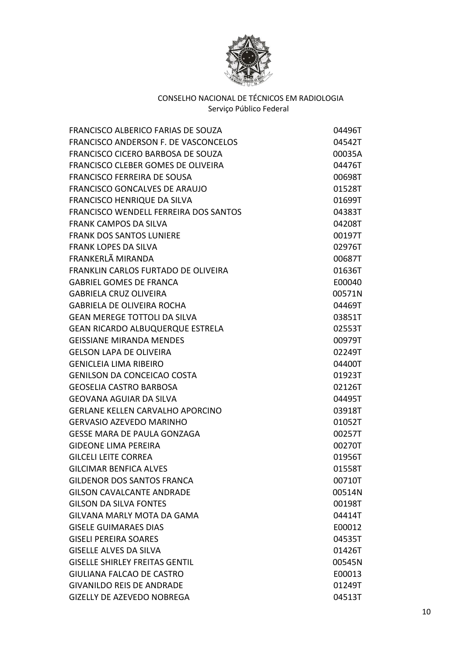

| <b>FRANCISCO ALBERICO FARIAS DE SOUZA</b>    | 04496T |
|----------------------------------------------|--------|
| FRANCISCO ANDERSON F. DE VASCONCELOS         | 04542T |
| FRANCISCO CICERO BARBOSA DE SOUZA            | 00035A |
| FRANCISCO CLEBER GOMES DE OLIVEIRA           | 04476T |
| FRANCISCO FERREIRA DE SOUSA                  | 00698T |
| <b>FRANCISCO GONCALVES DE ARAUJO</b>         | 01528T |
| <b>FRANCISCO HENRIQUE DA SILVA</b>           | 01699T |
| <b>FRANCISCO WENDELL FERREIRA DOS SANTOS</b> | 04383T |
| <b>FRANK CAMPOS DA SILVA</b>                 | 04208T |
| <b>FRANK DOS SANTOS LUNIERE</b>              | 00197T |
| <b>FRANK LOPES DA SILVA</b>                  | 02976T |
| FRANKERLÃ MIRANDA                            | 00687T |
| FRANKLIN CARLOS FURTADO DE OLIVEIRA          | 01636T |
| <b>GABRIEL GOMES DE FRANCA</b>               | E00040 |
| <b>GABRIELA CRUZ OLIVEIRA</b>                | 00571N |
| <b>GABRIELA DE OLIVEIRA ROCHA</b>            | 04469T |
| <b>GEAN MEREGE TOTTOLI DA SILVA</b>          | 03851T |
| <b>GEAN RICARDO ALBUQUERQUE ESTRELA</b>      | 02553T |
| <b>GEISSIANE MIRANDA MENDES</b>              | 00979T |
| <b>GELSON LAPA DE OLIVEIRA</b>               | 02249T |
| <b>GENICLEIA LIMA RIBEIRO</b>                | 04400T |
| <b>GENILSON DA CONCEICAO COSTA</b>           | 01923T |
| <b>GEOSELIA CASTRO BARBOSA</b>               | 02126T |
| <b>GEOVANA AGUIAR DA SILVA</b>               | 04495T |
| <b>GERLANE KELLEN CARVALHO APORCINO</b>      | 03918T |
| <b>GERVASIO AZEVEDO MARINHO</b>              | 01052T |
| <b>GESSE MARA DE PAULA GONZAGA</b>           | 00257T |
| <b>GIDEONE LIMA PEREIRA</b>                  | 00270T |
| <b>GILCELI LEITE CORREA</b>                  | 01956T |
| <b>GILCIMAR BENFICA ALVES</b>                | 01558T |
| <b>GILDENOR DOS SANTOS FRANCA</b>            | 00710T |
| <b>GILSON CAVALCANTE ANDRADE</b>             | 00514N |
| <b>GILSON DA SILVA FONTES</b>                | 00198T |
| GILVANA MARLY MOTA DA GAMA                   | 04414T |
| <b>GISELE GUIMARAES DIAS</b>                 | E00012 |
| <b>GISELI PEREIRA SOARES</b>                 | 04535T |
| <b>GISELLE ALVES DA SILVA</b>                | 01426T |
| <b>GISELLE SHIRLEY FREITAS GENTIL</b>        | 00545N |
| <b>GIULIANA FALCAO DE CASTRO</b>             | E00013 |
| <b>GIVANILDO REIS DE ANDRADE</b>             | 01249T |
| <b>GIZELLY DE AZEVEDO NOBREGA</b>            | 04513T |
|                                              |        |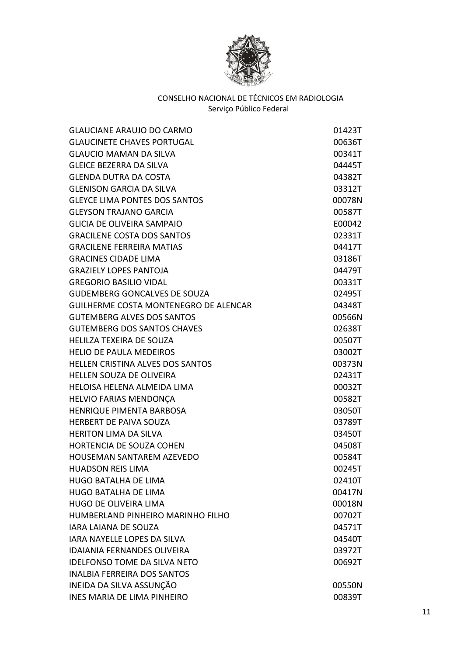

| <b>GLAUCIANE ARAUJO DO CARMO</b>             | 01423T |
|----------------------------------------------|--------|
| <b>GLAUCINETE CHAVES PORTUGAL</b>            | 00636T |
| <b>GLAUCIO MAMAN DA SILVA</b>                | 00341T |
| <b>GLEICE BEZERRA DA SILVA</b>               | 04445T |
| <b>GLENDA DUTRA DA COSTA</b>                 | 04382T |
| <b>GLENISON GARCIA DA SILVA</b>              | 03312T |
| <b>GLEYCE LIMA PONTES DOS SANTOS</b>         | 00078N |
| <b>GLEYSON TRAJANO GARCIA</b>                | 00587T |
| <b>GLICIA DE OLIVEIRA SAMPAIO</b>            | E00042 |
| <b>GRACILENE COSTA DOS SANTOS</b>            | 02331T |
| <b>GRACILENE FERREIRA MATIAS</b>             | 04417T |
| <b>GRACINES CIDADE LIMA</b>                  | 03186T |
| <b>GRAZIELY LOPES PANTOJA</b>                | 04479T |
| <b>GREGORIO BASILIO VIDAL</b>                | 00331T |
| <b>GUDEMBERG GONCALVES DE SOUZA</b>          | 02495T |
| <b>GUILHERME COSTA MONTENEGRO DE ALENCAR</b> | 04348T |
| <b>GUTEMBERG ALVES DOS SANTOS</b>            | 00566N |
| <b>GUTEMBERG DOS SANTOS CHAVES</b>           | 02638T |
| <b>HELILZA TEXEIRA DE SOUZA</b>              | 00507T |
| <b>HELIO DE PAULA MEDEIROS</b>               | 03002T |
| <b>HELLEN CRISTINA ALVES DOS SANTOS</b>      | 00373N |
| HELLEN SOUZA DE OLIVEIRA                     | 02431T |
| <b>HELOISA HELENA ALMEIDA LIMA</b>           | 00032T |
| HELVIO FARIAS MENDONÇA                       | 00582T |
| HENRIQUE PIMENTA BARBOSA                     | 03050T |
| <b>HERBERT DE PAIVA SOUZA</b>                | 03789T |
| <b>HERITON LIMA DA SILVA</b>                 | 03450T |
| <b>HORTENCIA DE SOUZA COHEN</b>              | 04508T |
| <b>HOUSEMAN SANTAREM AZEVEDO</b>             | 00584T |
| <b>HUADSON REIS LIMA</b>                     | 00245T |
| <b>HUGO BATALHA DE LIMA</b>                  | 02410T |
| <b>HUGO BATALHA DE LIMA</b>                  | 00417N |
| <b>HUGO DE OLIVEIRA LIMA</b>                 | 00018N |
| HUMBERLAND PINHEIRO MARINHO FILHO            | 00702T |
| <b>IARA LAIANA DE SOUZA</b>                  | 04571T |
| <b>IARA NAYELLE LOPES DA SILVA</b>           | 04540T |
| <b>IDAIANIA FERNANDES OLIVEIRA</b>           | 03972T |
| <b>IDELFONSO TOME DA SILVA NETO</b>          | 00692T |
| <b>INALBIA FERREIRA DOS SANTOS</b>           |        |
| INEIDA DA SILVA ASSUNÇÃO                     | 00550N |
| <b>INES MARIA DE LIMA PINHEIRO</b>           | 00839T |
|                                              |        |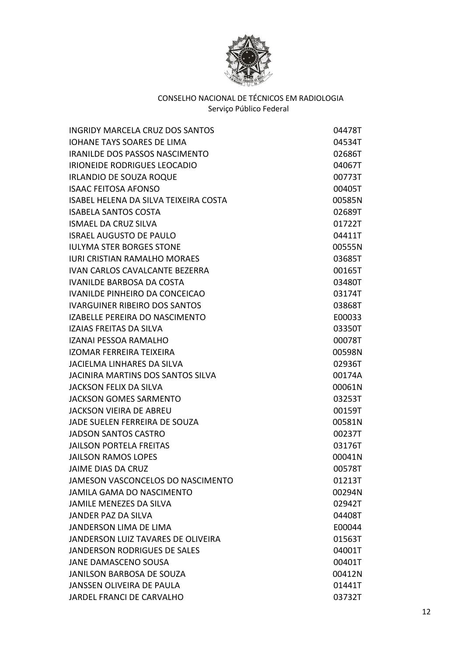

| <b>INGRIDY MARCELA CRUZ DOS SANTOS</b> | 04478T |
|----------------------------------------|--------|
| <b>IOHANE TAYS SOARES DE LIMA</b>      | 04534T |
| IRANILDE DOS PASSOS NASCIMENTO         | 02686T |
| IRIONEIDE RODRIGUES LEOCADIO           | 04067T |
| <b>IRLANDIO DE SOUZA ROQUE</b>         | 00773T |
| <b>ISAAC FEITOSA AFONSO</b>            | 00405T |
| ISABEL HELENA DA SILVA TEIXEIRA COSTA  | 00585N |
| <b>ISABELA SANTOS COSTA</b>            | 02689T |
| <b>ISMAEL DA CRUZ SILVA</b>            | 01722T |
| <b>ISRAEL AUGUSTO DE PAULO</b>         | 04411T |
| <b>IULYMA STER BORGES STONE</b>        | 00555N |
| <b>IURI CRISTIAN RAMALHO MORAES</b>    | 03685T |
| IVAN CARLOS CAVALCANTE BEZERRA         | 00165T |
| <b>IVANILDE BARBOSA DA COSTA</b>       | 03480T |
| IVANILDE PINHEIRO DA CONCEICAO         | 03174T |
| <b>IVARGUINER RIBEIRO DOS SANTOS</b>   | 03868T |
| IZABELLE PEREIRA DO NASCIMENTO         | E00033 |
| IZAIAS FREITAS DA SILVA                | 03350T |
| IZANAI PESSOA RAMALHO                  | 00078T |
| <b>IZOMAR FERREIRA TEIXEIRA</b>        | 00598N |
| JACIELMA LINHARES DA SILVA             | 02936T |
| JACINIRA MARTINS DOS SANTOS SILVA      | 00174A |
| <b>JACKSON FELIX DA SILVA</b>          | 00061N |
| <b>JACKSON GOMES SARMENTO</b>          | 03253T |
| <b>JACKSON VIEIRA DE ABREU</b>         | 00159T |
| JADE SUELEN FERREIRA DE SOUZA          | 00581N |
| <b>JADSON SANTOS CASTRO</b>            | 00237T |
| <b>JAILSON PORTELA FREITAS</b>         | 03176T |
| <b>JAILSON RAMOS LOPES</b>             | 00041N |
| JAIME DIAS DA CRUZ                     | 00578T |
| JAMESON VASCONCELOS DO NASCIMENTO      | 01213T |
| <b>JAMILA GAMA DO NASCIMENTO</b>       | 00294N |
| <b>JAMILE MENEZES DA SILVA</b>         | 02942T |
| <b>JANDER PAZ DA SILVA</b>             | 04408T |
| <b>JANDERSON LIMA DE LIMA</b>          | E00044 |
| JANDERSON LUIZ TAVARES DE OLIVEIRA     | 01563T |
| JANDERSON RODRIGUES DE SALES           | 04001T |
| JANE DAMASCENO SOUSA                   | 00401T |
| JANILSON BARBOSA DE SOUZA              | 00412N |
| <b>JANSSEN OLIVEIRA DE PAULA</b>       | 01441T |
| JARDEL FRANCI DE CARVALHO              | 03732T |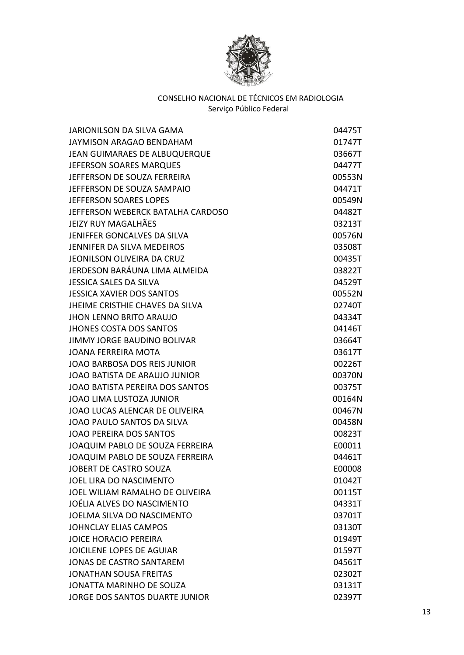

| JARIONILSON DA SILVA GAMA              | 04475T |
|----------------------------------------|--------|
| JAYMISON ARAGAO BENDAHAM               | 01747T |
| JEAN GUIMARAES DE ALBUQUERQUE          | 03667T |
| <b>JEFERSON SOARES MARQUES</b>         | 04477T |
| JEFFERSON DE SOUZA FERREIRA            | 00553N |
| JEFFERSON DE SOUZA SAMPAIO             | 04471T |
| JEFFERSON SOARES LOPES                 | 00549N |
| JEFFERSON WEBERCK BATALHA CARDOSO      | 04482T |
| <b>JEIZY RUY MAGALHÃES</b>             | 03213T |
| JENIFFER GONCALVES DA SILVA            | 00576N |
| <b>JENNIFER DA SILVA MEDEIROS</b>      | 03508T |
| JEONILSON OLIVEIRA DA CRUZ             | 00435T |
| JERDESON BARÁUNA LIMA ALMEIDA          | 03822T |
| JESSICA SALES DA SILVA                 | 04529T |
| <b>JESSICA XAVIER DOS SANTOS</b>       | 00552N |
| <b>JHEIME CRISTHIE CHAVES DA SILVA</b> | 02740T |
| <b>JHON LENNO BRITO ARAUJO</b>         | 04334T |
| <b>JHONES COSTA DOS SANTOS</b>         | 04146T |
| <b>JIMMY JORGE BAUDINO BOLIVAR</b>     | 03664T |
| <b>JOANA FERREIRA MOTA</b>             | 03617T |
| JOAO BARBOSA DOS REIS JUNIOR           | 00226T |
| JOAO BATISTA DE ARAUJO JUNIOR          | 00370N |
| <b>JOAO BATISTA PEREIRA DOS SANTOS</b> | 00375T |
| JOAO LIMA LUSTOZA JUNIOR               | 00164N |
| JOAO LUCAS ALENCAR DE OLIVEIRA         | 00467N |
| JOAO PAULO SANTOS DA SILVA             | 00458N |
| <b>JOAO PEREIRA DOS SANTOS</b>         | 00823T |
| JOAQUIM PABLO DE SOUZA FERREIRA        | E00011 |
| JOAQUIM PABLO DE SOUZA FERREIRA        | 04461T |
| JOBERT DE CASTRO SOUZA                 | E00008 |
| <b>JOEL LIRA DO NASCIMENTO</b>         | 01042T |
| JOEL WILIAM RAMALHO DE OLIVEIRA        | 00115T |
| JOÉLIA ALVES DO NASCIMENTO             | 04331T |
| JOELMA SILVA DO NASCIMENTO             | 03701T |
| <b>JOHNCLAY ELIAS CAMPOS</b>           | 03130T |
| <b>JOICE HORACIO PEREIRA</b>           | 01949T |
| <b>JOICILENE LOPES DE AGUIAR</b>       | 01597T |
| <b>JONAS DE CASTRO SANTAREM</b>        | 04561T |
| <b>JONATHAN SOUSA FREITAS</b>          | 02302T |
| JONATTA MARINHO DE SOUZA               | 03131T |
| JORGE DOS SANTOS DUARTE JUNIOR         | 02397T |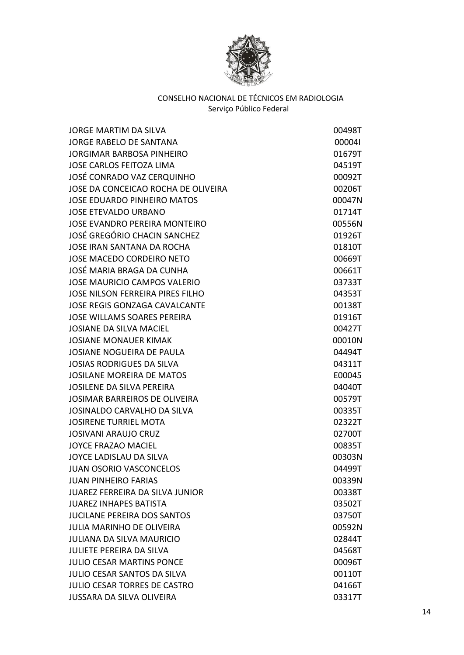

| <b>JORGE MARTIM DA SILVA</b>            | 00498T |
|-----------------------------------------|--------|
| <b>JORGE RABELO DE SANTANA</b>          | 000041 |
| <b>JORGIMAR BARBOSA PINHEIRO</b>        | 01679T |
| <b>JOSE CARLOS FEITOZA LIMA</b>         | 04519T |
| JOSÉ CONRADO VAZ CERQUINHO              | 00092T |
| JOSE DA CONCEICAO ROCHA DE OLIVEIRA     | 00206T |
| <b>JOSE EDUARDO PINHEIRO MATOS</b>      | 00047N |
| <b>JOSE ETEVALDO URBANO</b>             | 01714T |
| <b>JOSE EVANDRO PEREIRA MONTEIRO</b>    | 00556N |
| <b>JOSÉ GREGÓRIO CHACIN SANCHEZ</b>     | 01926T |
| <b>JOSE IRAN SANTANA DA ROCHA</b>       | 01810T |
| <b>JOSE MACEDO CORDEIRO NETO</b>        | 00669T |
| JOSÉ MARIA BRAGA DA CUNHA               | 00661T |
| <b>JOSE MAURICIO CAMPOS VALERIO</b>     | 03733T |
| <b>JOSE NILSON FERREIRA PIRES FILHO</b> | 04353T |
| <b>JOSE REGIS GONZAGA CAVALCANTE</b>    | 00138T |
| <b>JOSE WILLAMS SOARES PEREIRA</b>      | 01916T |
| <b>JOSIANE DA SILVA MACIEL</b>          | 00427T |
| <b>JOSIANE MONAUER KIMAK</b>            | 00010N |
| <b>JOSIANE NOGUEIRA DE PAULA</b>        | 04494T |
| <b>JOSIAS RODRIGUES DA SILVA</b>        | 04311T |
| <b>JOSILANE MOREIRA DE MATOS</b>        | E00045 |
| <b>JOSILENE DA SILVA PEREIRA</b>        | 04040T |
| JOSIMAR BARREIROS DE OLIVEIRA           | 00579T |
| JOSINALDO CARVALHO DA SILVA             | 00335T |
| <b>JOSIRENE TURRIEL MOTA</b>            | 02322T |
| <b>JOSIVANI ARAUJO CRUZ</b>             | 02700T |
| JOYCE FRAZAO MACIEL                     | 00835T |
| JOYCE LADISLAU DA SILVA                 | 00303N |
| <b>JUAN OSORIO VASCONCELOS</b>          | 04499T |
| <b>JUAN PINHEIRO FARIAS</b>             | 00339N |
| <b>JUAREZ FERREIRA DA SILVA JUNIOR</b>  | 00338T |
| <b>JUAREZ INHAPES BATISTA</b>           | 03502T |
| <b>JUCILANE PEREIRA DOS SANTOS</b>      | 03750T |
| <b>JULIA MARINHO DE OLIVEIRA</b>        | 00592N |
| <b>JULIANA DA SILVA MAURICIO</b>        | 02844T |
| <b>JULIETE PEREIRA DA SILVA</b>         | 04568T |
| <b>JULIO CESAR MARTINS PONCE</b>        | 00096T |
| <b>JULIO CESAR SANTOS DA SILVA</b>      | 00110T |
| <b>JULIO CESAR TORRES DE CASTRO</b>     | 04166T |
| <b>JUSSARA DA SILVA OLIVEIRA</b>        | 03317T |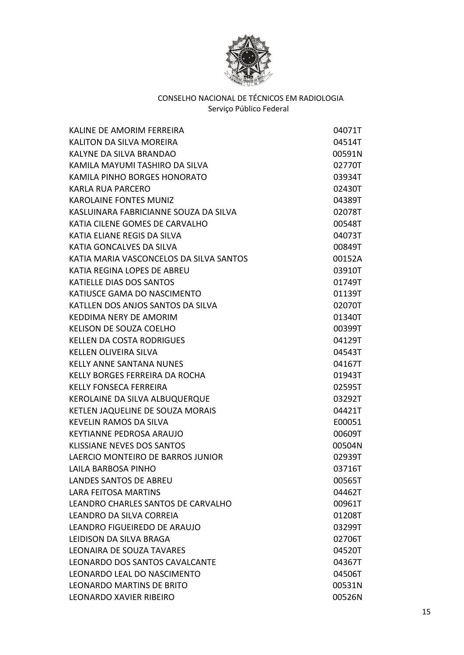

| KALINE DE AMORIM FERREIRA               | 04071T |
|-----------------------------------------|--------|
| <b>KALITON DA SILVA MOREIRA</b>         | 04514T |
| KALYNE DA SILVA BRANDAO                 | 00591N |
| KAMILA MAYUMI TASHIRO DA SILVA          | 02770T |
| KAMILA PINHO BORGES HONORATO            | 03934T |
| KARLA RUA PARCERO                       | 02430T |
| <b>KAROLAINE FONTES MUNIZ</b>           | 04389T |
| KASLUINARA FABRICIANNE SOUZA DA SILVA   | 02078T |
| KATIA CILENE GOMES DE CARVALHO          | 00548T |
| KATIA ELIANE REGIS DA SILVA             | 04073T |
| KATIA GONCALVES DA SILVA                | 00849T |
| KATIA MARIA VASCONCELOS DA SILVA SANTOS | 00152A |
| KATIA REGINA LOPES DE ABREU             | 03910T |
| KATIELLE DIAS DOS SANTOS                | 01749T |
| KATIUSCE GAMA DO NASCIMENTO             | 01139T |
| KATLLEN DOS ANJOS SANTOS DA SILVA       | 02070T |
| KEDDIMA NERY DE AMORIM                  | 01340T |
| <b>KELISON DE SOUZA COELHO</b>          | 00399T |
| <b>KELLEN DA COSTA RODRIGUES</b>        | 04129T |
| KELLEN OLIVEIRA SILVA                   | 04543T |
| <b>KELLY ANNE SANTANA NUNES</b>         | 04167T |
| KELLY BORGES FERREIRA DA ROCHA          | 01943T |
| <b>KELLY FONSECA FERREIRA</b>           | 02595T |
| KEROLAINE DA SILVA ALBUQUERQUE          | 03292T |
| KETLEN JAQUELINE DE SOUZA MORAIS        | 04421T |
| <b>KEVELIN RAMOS DA SILVA</b>           | E00051 |
| <b>KEYTIANNE PEDROSA ARAUJO</b>         | 00609T |
| KLISSIANE NEVES DOS SANTOS              | 00504N |
| LAERCIO MONTEIRO DE BARROS JUNIOR       | 02939T |
| LAILA BARBOSA PINHO                     | 03716T |
| <b>LANDES SANTOS DE ABREU</b>           | 00565T |
| <b>LARA FEITOSA MARTINS</b>             | 04462T |
| LEANDRO CHARLES SANTOS DE CARVALHO      | 00961T |
| LEANDRO DA SILVA CORREIA                | 01208T |
| LEANDRO FIGUEIREDO DE ARAUJO            | 03299T |
| LEIDISON DA SILVA BRAGA                 | 02706T |
| <b>LEONAIRA DE SOUZA TAVARES</b>        | 04520T |
| LEONARDO DOS SANTOS CAVALCANTE          | 04367T |
| LEONARDO LEAL DO NASCIMENTO             | 04506T |
| <b>LEONARDO MARTINS DE BRITO</b>        | 00531N |
| <b>LEONARDO XAVIER RIBEIRO</b>          | 00526N |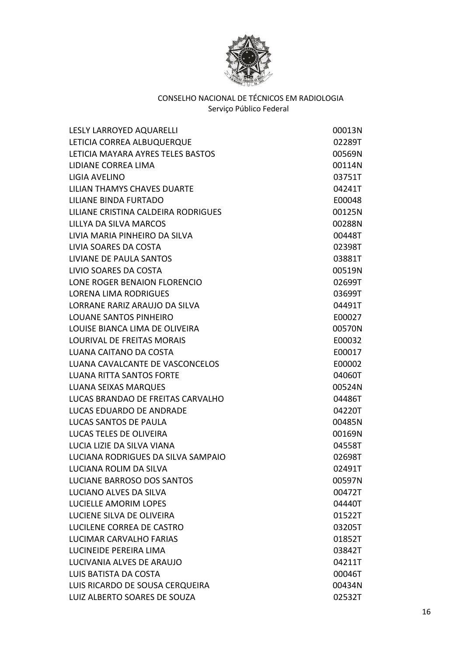

| LESLY LARROYED AQUARELLI            | 00013N |
|-------------------------------------|--------|
| LETICIA CORREA ALBUQUERQUE          | 02289T |
| LETICIA MAYARA AYRES TELES BASTOS   | 00569N |
| LIDIANE CORREA LIMA                 | 00114N |
| LIGIA AVELINO                       | 03751T |
| LILIAN THAMYS CHAVES DUARTE         | 04241T |
| LILIANE BINDA FURTADO               | E00048 |
| LILIANE CRISTINA CALDEIRA RODRIGUES | 00125N |
| LILLYA DA SILVA MARCOS              | 00288N |
| LIVIA MARIA PINHEIRO DA SILVA       | 00448T |
| LIVIA SOARES DA COSTA               | 02398T |
| LIVIANE DE PAULA SANTOS             | 03881T |
| LIVIO SOARES DA COSTA               | 00519N |
| LONE ROGER BENAION FLORENCIO        | 02699T |
| <b>LORENA LIMA RODRIGUES</b>        | 03699T |
| LORRANE RARIZ ARAUJO DA SILVA       | 04491T |
| <b>LOUANE SANTOS PINHEIRO</b>       | E00027 |
| LOUISE BIANCA LIMA DE OLIVEIRA      | 00570N |
| <b>LOURIVAL DE FREITAS MORAIS</b>   | E00032 |
| LUANA CAITANO DA COSTA              | E00017 |
| LUANA CAVALCANTE DE VASCONCELOS     | E00002 |
| <b>LUANA RITTA SANTOS FORTE</b>     | 04060T |
| <b>LUANA SEIXAS MARQUES</b>         | 00524N |
| LUCAS BRANDAO DE FREITAS CARVALHO   | 04486T |
| LUCAS EDUARDO DE ANDRADE            | 04220T |
| LUCAS SANTOS DE PAULA               | 00485N |
| LUCAS TELES DE OLIVEIRA             | 00169N |
| LUCIA LIZIE DA SILVA VIANA          | 04558T |
| LUCIANA RODRIGUES DA SILVA SAMPAIO  | 02698T |
| LUCIANA ROLIM DA SILVA              | 02491T |
| <b>LUCIANE BARROSO DOS SANTOS</b>   | 00597N |
| LUCIANO ALVES DA SILVA              | 00472T |
| <b>LUCIELLE AMORIM LOPES</b>        | 04440T |
| LUCIENE SILVA DE OLIVEIRA           | 01522T |
| LUCILENE CORREA DE CASTRO           | 03205T |
| LUCIMAR CARVALHO FARIAS             | 01852T |
| LUCINEIDE PEREIRA LIMA              | 03842T |
| LUCIVANIA ALVES DE ARAUJO           | 04211T |
| LUIS BATISTA DA COSTA               | 00046T |
| LUIS RICARDO DE SOUSA CERQUEIRA     | 00434N |
| LUIZ ALBERTO SOARES DE SOUZA        | 02532T |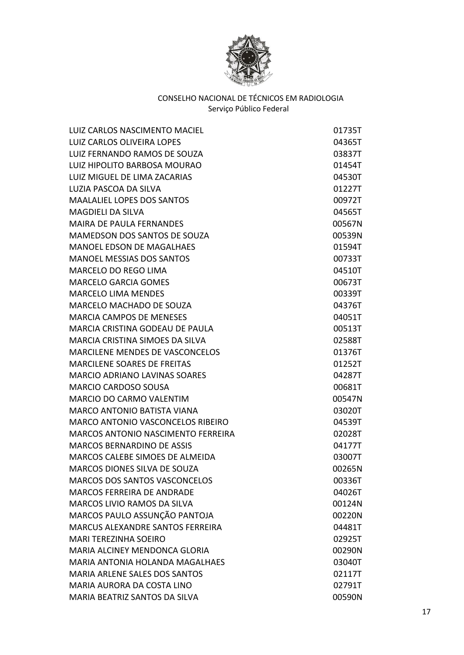

| LUIZ CARLOS NASCIMENTO MACIEL             | 01735T |
|-------------------------------------------|--------|
| <b>LUIZ CARLOS OLIVEIRA LOPES</b>         | 04365T |
| LUIZ FERNANDO RAMOS DE SOUZA              | 03837T |
| LUIZ HIPOLITO BARBOSA MOURAO              | 01454T |
| LUIZ MIGUEL DE LIMA ZACARIAS              | 04530T |
| LUZIA PASCOA DA SILVA                     | 01227T |
| <b>MAALALIEL LOPES DOS SANTOS</b>         | 00972T |
| <b>MAGDIELI DA SILVA</b>                  | 04565T |
| <b>MAIRA DE PAULA FERNANDES</b>           | 00567N |
| MAMEDSON DOS SANTOS DE SOUZA              | 00539N |
| <b>MANOEL EDSON DE MAGALHAES</b>          | 01594T |
| <b>MANOEL MESSIAS DOS SANTOS</b>          | 00733T |
| <b>MARCELO DO REGO LIMA</b>               | 04510T |
| <b>MARCELO GARCIA GOMES</b>               | 00673T |
| <b>MARCELO LIMA MENDES</b>                | 00339T |
| <b>MARCELO MACHADO DE SOUZA</b>           | 04376T |
| <b>MARCIA CAMPOS DE MENESES</b>           | 04051T |
| MARCIA CRISTINA GODEAU DE PAULA           | 00513T |
| <b>MARCIA CRISTINA SIMOES DA SILVA</b>    | 02588T |
| <b>MARCILENE MENDES DE VASCONCELOS</b>    | 01376T |
| <b>MARCILENE SOARES DE FREITAS</b>        | 01252T |
| <b>MARCIO ADRIANO LAVINAS SOARES</b>      | 04287T |
| <b>MARCIO CARDOSO SOUSA</b>               | 00681T |
| <b>MARCIO DO CARMO VALENTIM</b>           | 00547N |
| <b>MARCO ANTONIO BATISTA VIANA</b>        | 03020T |
| MARCO ANTONIO VASCONCELOS RIBEIRO         | 04539T |
| <b>MARCOS ANTONIO NASCIMENTO FERREIRA</b> | 02028T |
| MARCOS BERNARDINO DE ASSIS                | 04177T |
| MARCOS CALEBE SIMOES DE ALMEIDA           | 03007T |
| MARCOS DIONES SILVA DE SOUZA              | 00265N |
| <b>MARCOS DOS SANTOS VASCONCELOS</b>      | 00336T |
| <b>MARCOS FERREIRA DE ANDRADE</b>         | 04026T |
| <b>MARCOS LIVIO RAMOS DA SILVA</b>        | 00124N |
| MARCOS PAULO ASSUNÇÃO PANTOJA             | 00220N |
| MARCUS ALEXANDRE SANTOS FERREIRA          | 04481T |
| <b>MARI TEREZINHA SOEIRO</b>              | 02925T |
| <b>MARIA ALCINEY MENDONCA GLORIA</b>      | 00290N |
| <b>MARIA ANTONIA HOLANDA MAGALHAES</b>    | 03040T |
| <b>MARIA ARLENE SALES DOS SANTOS</b>      | 02117T |
| MARIA AURORA DA COSTA LINO                | 02791T |
| MARIA BEATRIZ SANTOS DA SILVA             | 00590N |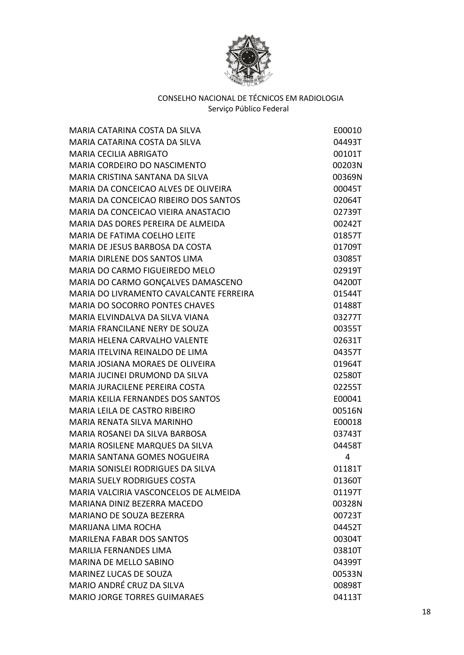

| MARIA CATARINA COSTA DA SILVA            | E00010 |
|------------------------------------------|--------|
| MARIA CATARINA COSTA DA SILVA            | 04493T |
| <b>MARIA CECILIA ABRIGATO</b>            | 00101T |
| MARIA CORDEIRO DO NASCIMENTO             | 00203N |
| MARIA CRISTINA SANTANA DA SILVA          | 00369N |
| MARIA DA CONCEICAO ALVES DE OLIVEIRA     | 00045T |
| MARIA DA CONCEICAO RIBEIRO DOS SANTOS    | 02064T |
| MARIA DA CONCEICAO VIEIRA ANASTACIO      | 02739T |
| MARIA DAS DORES PEREIRA DE ALMEIDA       | 00242T |
| MARIA DE FATIMA COELHO LEITE             | 01857T |
| MARIA DE JESUS BARBOSA DA COSTA          | 01709T |
| MARIA DIRLENE DOS SANTOS LIMA            | 03085T |
| MARIA DO CARMO FIGUEIREDO MELO           | 02919T |
| MARIA DO CARMO GONÇALVES DAMASCENO       | 04200T |
| MARIA DO LIVRAMENTO CAVALCANTE FERREIRA  | 01544T |
| <b>MARIA DO SOCORRO PONTES CHAVES</b>    | 01488T |
| MARIA ELVINDALVA DA SILVA VIANA          | 03277T |
| MARIA FRANCILANE NERY DE SOUZA           | 00355T |
| <b>MARIA HELENA CARVALHO VALENTE</b>     | 02631T |
| MARIA ITELVINA REINALDO DE LIMA          | 04357T |
| MARIA JOSIANA MORAES DE OLIVEIRA         | 01964T |
| MARIA JUCINEI DRUMOND DA SILVA           | 02580T |
| MARIA JURACILENE PEREIRA COSTA           | 02255T |
| <b>MARIA KEILIA FERNANDES DOS SANTOS</b> | E00041 |
| <b>MARIA LEILA DE CASTRO RIBEIRO</b>     | 00516N |
| MARIA RENATA SILVA MARINHO               | E00018 |
| MARIA ROSANEI DA SILVA BARBOSA           | 03743T |
| MARIA ROSILENE MARQUES DA SILVA          | 04458T |
| <b>MARIA SANTANA GOMES NOGUEIRA</b>      | 4      |
| MARIA SONISLEI RODRIGUES DA SILVA        | 01181T |
| <b>MARIA SUELY RODRIGUES COSTA</b>       | 01360T |
| MARIA VALCIRIA VASCONCELOS DE ALMEIDA    | 01197T |
| MARIANA DINIZ BEZERRA MACEDO             | 00328N |
| MARIANO DE SOUZA BEZERRA                 | 00723T |
| <b>MARIJANA LIMA ROCHA</b>               | 04452T |
| <b>MARILENA FABAR DOS SANTOS</b>         | 00304T |
| <b>MARILIA FERNANDES LIMA</b>            | 03810T |
| MARINA DE MELLO SABINO                   | 04399T |
| <b>MARINEZ LUCAS DE SOUZA</b>            | 00533N |
| MARIO ANDRÉ CRUZ DA SILVA                | 00898T |
| <b>MARIO JORGE TORRES GUIMARAES</b>      | 04113T |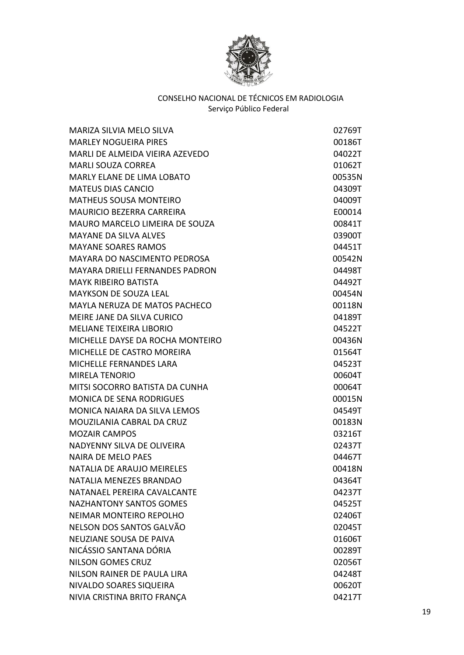

| MARIZA SILVIA MELO SILVA               | 02769T |
|----------------------------------------|--------|
| <b>MARLEY NOGUEIRA PIRES</b>           | 00186T |
| MARLI DE ALMEIDA VIEIRA AZEVEDO        | 04022T |
| <b>MARLI SOUZA CORREA</b>              | 01062T |
| <b>MARLY ELANE DE LIMA LOBATO</b>      | 00535N |
| <b>MATEUS DIAS CANCIO</b>              | 04309T |
| <b>MATHEUS SOUSA MONTEIRO</b>          | 04009T |
| <b>MAURICIO BEZERRA CARREIRA</b>       | E00014 |
| MAURO MARCELO LIMEIRA DE SOUZA         | 00841T |
| <b>MAYANE DA SILVA ALVES</b>           | 03900T |
| <b>MAYANE SOARES RAMOS</b>             | 04451T |
| <b>MAYARA DO NASCIMENTO PEDROSA</b>    | 00542N |
| <b>MAYARA DRIELLI FERNANDES PADRON</b> | 04498T |
| <b>MAYK RIBEIRO BATISTA</b>            | 04492T |
| <b>MAYKSON DE SOUZA LEAL</b>           | 00454N |
| <b>MAYLA NERUZA DE MATOS PACHECO</b>   | 00118N |
| MEIRE JANE DA SILVA CURICO             | 04189T |
| <b>MELIANE TEIXEIRA LIBORIO</b>        | 04522T |
| MICHELLE DAYSE DA ROCHA MONTEIRO       | 00436N |
| MICHELLE DE CASTRO MOREIRA             | 01564T |
| <b>MICHELLE FERNANDES LARA</b>         | 04523T |
| <b>MIRELA TENORIO</b>                  | 00604T |
| MITSI SOCORRO BATISTA DA CUNHA         | 00064T |
| <b>MONICA DE SENA RODRIGUES</b>        | 00015N |
| MONICA NAIARA DA SILVA LEMOS           | 04549T |
| MOUZILANIA CABRAL DA CRUZ              | 00183N |
| <b>MOZAIR CAMPOS</b>                   | 03216T |
| NADYENNY SILVA DE OLIVEIRA             | 02437T |
| <b>NAIRA DE MELO PAES</b>              | 04467T |
| NATALIA DE ARAUJO MEIRELES             | 00418N |
| NATALIA MENEZES BRANDAO                | 04364T |
| NATANAEL PEREIRA CAVALCANTE            | 04237T |
| <b>NAZHANTONY SANTOS GOMES</b>         | 04525T |
| NEIMAR MONTEIRO REPOLHO                | 02406T |
| NELSON DOS SANTOS GALVÃO               | 02045T |
| <b>NEUZIANE SOUSA DE PAIVA</b>         | 01606T |
| NICÁSSIO SANTANA DÓRIA                 | 00289T |
| <b>NILSON GOMES CRUZ</b>               | 02056T |
| NILSON RAINER DE PAULA LIRA            | 04248T |
| NIVALDO SOARES SIQUEIRA                | 00620T |
| NIVIA CRISTINA BRITO FRANÇA            | 04217T |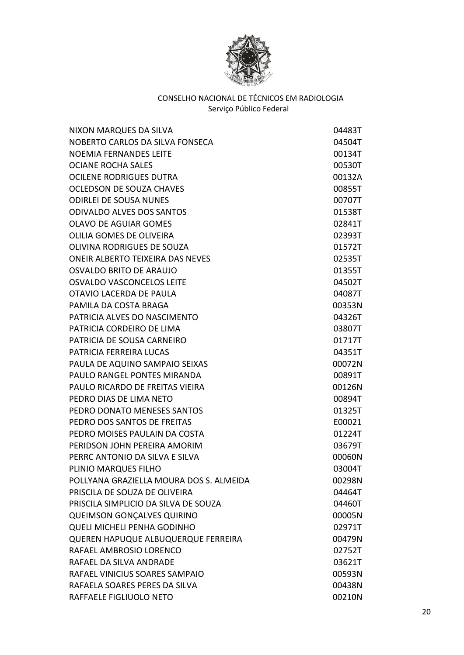

| NIXON MARQUES DA SILVA                  | 04483T |
|-----------------------------------------|--------|
| NOBERTO CARLOS DA SILVA FONSECA         | 04504T |
| <b>NOEMIA FERNANDES LEITE</b>           | 00134T |
| <b>OCIANE ROCHA SALES</b>               | 00530T |
| <b>OCILENE RODRIGUES DUTRA</b>          | 00132A |
| OCLEDSON DE SOUZA CHAVES                | 00855T |
| <b>ODIRLEI DE SOUSA NUNES</b>           | 00707T |
| <b>ODIVALDO ALVES DOS SANTOS</b>        | 01538T |
| <b>OLAVO DE AGUIAR GOMES</b>            | 02841T |
| <b>OLILIA GOMES DE OLIVEIRA</b>         | 02393T |
| OLIVINA RODRIGUES DE SOUZA              | 01572T |
| <b>ONEIR ALBERTO TEIXEIRA DAS NEVES</b> | 02535T |
| OSVALDO BRITO DE ARAUJO                 | 01355T |
| <b>OSVALDO VASCONCELOS LEITE</b>        | 04502T |
| OTAVIO LACERDA DE PAULA                 | 04087T |
| PAMILA DA COSTA BRAGA                   | 00353N |
| PATRICIA ALVES DO NASCIMENTO            | 04326T |
| PATRICIA CORDEIRO DE LIMA               | 03807T |
| PATRICIA DE SOUSA CARNEIRO              | 01717T |
| PATRICIA FERREIRA LUCAS                 | 04351T |
| PAULA DE AQUINO SAMPAIO SEIXAS          | 00072N |
| PAULO RANGEL PONTES MIRANDA             | 00891T |
| PAULO RICARDO DE FREITAS VIEIRA         | 00126N |
| PEDRO DIAS DE LIMA NETO                 | 00894T |
| PEDRO DONATO MENESES SANTOS             | 01325T |
| PEDRO DOS SANTOS DE FREITAS             | E00021 |
| PEDRO MOISES PAULAIN DA COSTA           | 01224T |
| PERIDSON JOHN PEREIRA AMORIM            | 03679T |
| PERRC ANTONIO DA SILVA E SILVA          | 00060N |
| PLINIO MARQUES FILHO                    | 03004T |
| POLLYANA GRAZIELLA MOURA DOS S. ALMEIDA | 00298N |
| PRISCILA DE SOUZA DE OLIVEIRA           | 04464T |
| PRISCILA SIMPLICIO DA SILVA DE SOUZA    | 04460T |
| <b>QUEIMSON GONÇALVES QUIRINO</b>       | 00005N |
| <b>QUELI MICHELI PENHA GODINHO</b>      | 02971T |
| QUEREN HAPUQUE ALBUQUERQUE FERREIRA     | 00479N |
| RAFAEL AMBROSIO LORENCO                 | 02752T |
| RAFAEL DA SILVA ANDRADE                 | 03621T |
| RAFAEL VINICIUS SOARES SAMPAIO          | 00593N |
| RAFAELA SOARES PERES DA SILVA           | 00438N |
| RAFFAELE FIGLIUOLO NETO                 | 00210N |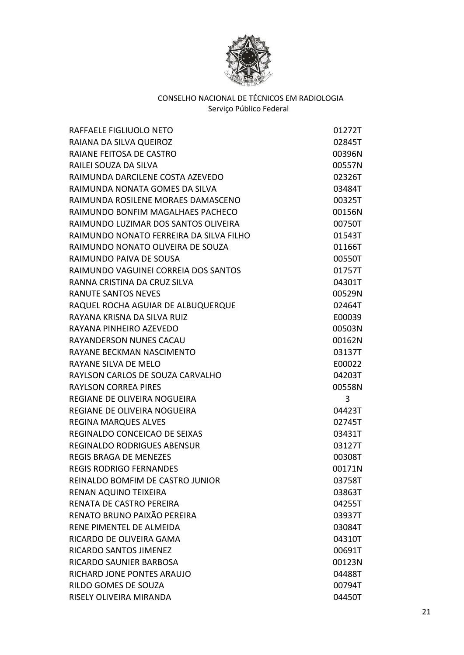

| RAFFAELE FIGLIUOLO NETO                 | 01272T |
|-----------------------------------------|--------|
| RAIANA DA SILVA QUEIROZ                 | 02845T |
| RAIANE FEITOSA DE CASTRO                | 00396N |
| RAILEI SOUZA DA SILVA                   | 00557N |
| RAIMUNDA DARCILENE COSTA AZEVEDO        | 02326T |
| RAIMUNDA NONATA GOMES DA SILVA          | 03484T |
| RAIMUNDA ROSILENE MORAES DAMASCENO      | 00325T |
| RAIMUNDO BONFIM MAGALHAES PACHECO       | 00156N |
| RAIMUNDO LUZIMAR DOS SANTOS OLIVEIRA    | 00750T |
| RAIMUNDO NONATO FERREIRA DA SILVA FILHO | 01543T |
| RAIMUNDO NONATO OLIVEIRA DE SOUZA       | 01166T |
| RAIMUNDO PAIVA DE SOUSA                 | 00550T |
| RAIMUNDO VAGUINEI CORREIA DOS SANTOS    | 01757T |
| RANNA CRISTINA DA CRUZ SILVA            | 04301T |
| <b>RANUTE SANTOS NEVES</b>              | 00529N |
| RAQUEL ROCHA AGUIAR DE ALBUQUERQUE      | 02464T |
| RAYANA KRISNA DA SILVA RUIZ             | E00039 |
| RAYANA PINHEIRO AZEVEDO                 | 00503N |
| <b>RAYANDERSON NUNES CACAU</b>          | 00162N |
| RAYANE BECKMAN NASCIMENTO               | 03137T |
| RAYANE SILVA DE MELO                    | E00022 |
| RAYLSON CARLOS DE SOUZA CARVALHO        | 04203T |
| <b>RAYLSON CORREA PIRES</b>             | 00558N |
| REGIANE DE OLIVEIRA NOGUEIRA            | 3      |
| REGIANE DE OLIVEIRA NOGUEIRA            | 04423T |
| <b>REGINA MARQUES ALVES</b>             | 02745T |
| REGINALDO CONCEICAO DE SEIXAS           | 03431T |
| <b>REGINALDO RODRIGUES ABENSUR</b>      | 03127T |
| <b>REGIS BRAGA DE MENEZES</b>           | 00308T |
| <b>REGIS RODRIGO FERNANDES</b>          | 00171N |
| REINALDO BOMFIM DE CASTRO JUNIOR        | 03758T |
| RENAN AQUINO TEIXEIRA                   | 03863T |
| RENATA DE CASTRO PEREIRA                | 04255T |
| RENATO BRUNO PAIXÃO PEREIRA             | 03937T |
| RENE PIMENTEL DE ALMEIDA                | 03084T |
| RICARDO DE OLIVEIRA GAMA                | 04310T |
| RICARDO SANTOS JIMENEZ                  | 00691T |
| <b>RICARDO SAUNIER BARBOSA</b>          | 00123N |
| RICHARD JONE PONTES ARAUJO              | 04488T |
| RILDO GOMES DE SOUZA                    | 00794T |
| RISELY OLIVEIRA MIRANDA                 | 04450T |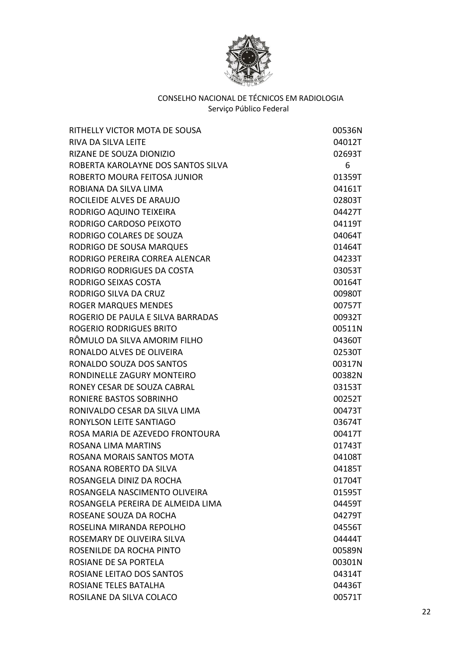

| RITHELLY VICTOR MOTA DE SOUSA      | 00536N |
|------------------------------------|--------|
| RIVA DA SILVA LEITE                | 04012T |
| RIZANE DE SOUZA DIONIZIO           | 02693T |
| ROBERTA KAROLAYNE DOS SANTOS SILVA | 6      |
| ROBERTO MOURA FEITOSA JUNIOR       | 01359T |
| ROBIANA DA SILVA LIMA              | 04161T |
| ROCILEIDE ALVES DE ARAUJO          | 02803T |
| RODRIGO AQUINO TEIXEIRA            | 04427T |
| RODRIGO CARDOSO PEIXOTO            | 04119T |
| RODRIGO COLARES DE SOUZA           | 04064T |
| RODRIGO DE SOUSA MARQUES           | 01464T |
| RODRIGO PEREIRA CORREA ALENCAR     | 04233T |
| RODRIGO RODRIGUES DA COSTA         | 03053T |
| RODRIGO SEIXAS COSTA               | 00164T |
| RODRIGO SILVA DA CRUZ              | 00980T |
| <b>ROGER MARQUES MENDES</b>        | 00757T |
| ROGERIO DE PAULA E SILVA BARRADAS  | 00932T |
| <b>ROGERIO RODRIGUES BRITO</b>     | 00511N |
| RÔMULO DA SILVA AMORIM FILHO       | 04360T |
| RONALDO ALVES DE OLIVEIRA          | 02530T |
| RONALDO SOUZA DOS SANTOS           | 00317N |
| RONDINELLE ZAGURY MONTEIRO         | 00382N |
| RONEY CESAR DE SOUZA CABRAL        | 03153T |
| RONIERE BASTOS SOBRINHO            | 00252T |
| RONIVALDO CESAR DA SILVA LIMA      | 00473T |
| RONYLSON LEITE SANTIAGO            | 03674T |
| ROSA MARIA DE AZEVEDO FRONTOURA    | 00417T |
| <b>ROSANA LIMA MARTINS</b>         | 01743T |
| ROSANA MORAIS SANTOS MOTA          | 04108T |
| ROSANA ROBERTO DA SILVA            | 04185T |
| ROSANGELA DINIZ DA ROCHA           | 01704T |
| ROSANGELA NASCIMENTO OLIVEIRA      | 01595T |
| ROSANGELA PEREIRA DE ALMEIDA LIMA  | 04459T |
| ROSEANE SOUZA DA ROCHA             | 04279T |
| ROSELINA MIRANDA REPOLHO           | 04556T |
| ROSEMARY DE OLIVEIRA SILVA         | 04444T |
| ROSENILDE DA ROCHA PINTO           | 00589N |
| ROSIANE DE SA PORTELA              | 00301N |
| ROSIANE LEITAO DOS SANTOS          | 04314T |
| ROSIANE TELES BATALHA              | 04436T |
| ROSILANE DA SILVA COLACO           | 00571T |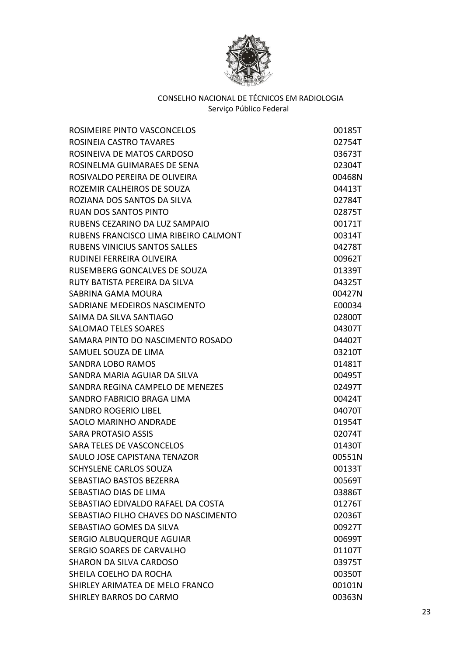

| ROSIMEIRE PINTO VASCONCELOS           | 00185T |
|---------------------------------------|--------|
| ROSINEIA CASTRO TAVARES               | 02754T |
| ROSINEIVA DE MATOS CARDOSO            | 03673T |
| ROSINELMA GUIMARAES DE SENA           | 02304T |
| ROSIVALDO PEREIRA DE OLIVEIRA         | 00468N |
| ROZEMIR CALHEIROS DE SOUZA            | 04413T |
| ROZIANA DOS SANTOS DA SILVA           | 02784T |
| <b>RUAN DOS SANTOS PINTO</b>          | 02875T |
| RUBENS CEZARINO DA LUZ SAMPAIO        | 00171T |
| RUBENS FRANCISCO LIMA RIBEIRO CALMONT | 00314T |
| <b>RUBENS VINICIUS SANTOS SALLES</b>  | 04278T |
| RUDINEI FERREIRA OLIVEIRA             | 00962T |
| RUSEMBERG GONCALVES DE SOUZA          | 01339T |
| RUTY BATISTA PEREIRA DA SILVA         | 04325T |
| SABRINA GAMA MOURA                    | 00427N |
| SADRIANE MEDEIROS NASCIMENTO          | E00034 |
| SAIMA DA SILVA SANTIAGO               | 02800T |
| <b>SALOMAO TELES SOARES</b>           | 04307T |
| SAMARA PINTO DO NASCIMENTO ROSADO     | 04402T |
| SAMUEL SOUZA DE LIMA                  | 03210T |
| <b>SANDRA LOBO RAMOS</b>              | 01481T |
| SANDRA MARIA AGUIAR DA SILVA          | 00495T |
| SANDRA REGINA CAMPELO DE MENEZES      | 02497T |
| SANDRO FABRICIO BRAGA LIMA            | 00424T |
| SANDRO ROGERIO LIBEL                  | 04070T |
| <b>SAOLO MARINHO ANDRADE</b>          | 01954T |
| <b>SARA PROTASIO ASSIS</b>            | 02074T |
| SARA TELES DE VASCONCELOS             | 01430T |
| SAULO JOSE CAPISTANA TENAZOR          | 00551N |
| SCHYSLENE CARLOS SOUZA                | 00133T |
| SEBASTIAO BASTOS BEZERRA              | 00569T |
| SEBASTIAO DIAS DE LIMA                | 03886T |
| SEBASTIAO EDIVALDO RAFAEL DA COSTA    | 01276T |
| SEBASTIAO FILHO CHAVES DO NASCIMENTO  | 02036T |
| SEBASTIAO GOMES DA SILVA              | 00927T |
| SERGIO ALBUQUERQUE AGUIAR             | 00699T |
| SERGIO SOARES DE CARVALHO             | 01107T |
| <b>SHARON DA SILVA CARDOSO</b>        | 03975T |
| SHEILA COELHO DA ROCHA                | 00350T |
| SHIRLEY ARIMATEA DE MELO FRANCO       | 00101N |
| <b>SHIRLEY BARROS DO CARMO</b>        | 00363N |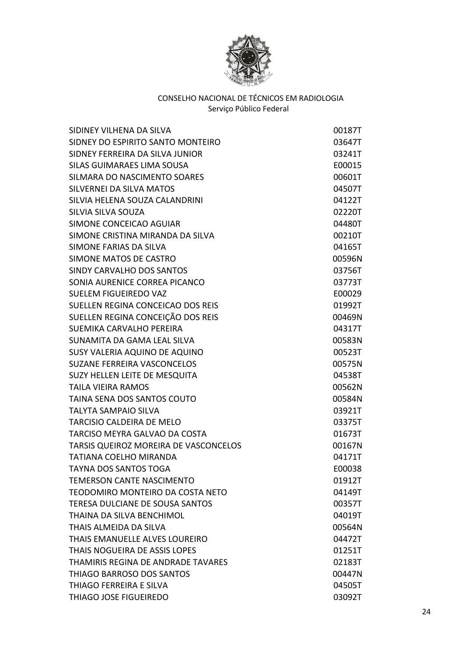

| SIDINEY VILHENA DA SILVA              | 00187T |
|---------------------------------------|--------|
| SIDNEY DO ESPIRITO SANTO MONTEIRO     | 03647T |
| SIDNEY FERREIRA DA SILVA JUNIOR       | 03241T |
| SILAS GUIMARAES LIMA SOUSA            | E00015 |
| SILMARA DO NASCIMENTO SOARES          | 00601T |
| SILVERNEI DA SILVA MATOS              | 04507T |
| SILVIA HELENA SOUZA CALANDRINI        | 04122T |
| SILVIA SILVA SOUZA                    | 02220T |
| SIMONE CONCEICAO AGUIAR               | 04480T |
| SIMONE CRISTINA MIRANDA DA SILVA      | 00210T |
| SIMONE FARIAS DA SILVA                | 04165T |
| SIMONE MATOS DE CASTRO                | 00596N |
| SINDY CARVALHO DOS SANTOS             | 03756T |
| SONIA AURENICE CORREA PICANCO         | 03773T |
| <b>SUELEM FIGUEIREDO VAZ</b>          | E00029 |
| SUELLEN REGINA CONCEICAO DOS REIS     | 01992T |
| SUELLEN REGINA CONCEIÇÃO DOS REIS     | 00469N |
| SUEMIKA CARVALHO PEREIRA              | 04317T |
| SUNAMITA DA GAMA LEAL SILVA           | 00583N |
| SUSY VALERIA AQUINO DE AQUINO         | 00523T |
| <b>SUZANE FERREIRA VASCONCELOS</b>    | 00575N |
| SUZY HELLEN LEITE DE MESQUITA         | 04538T |
| <b>TAILA VIEIRA RAMOS</b>             | 00562N |
| TAINA SENA DOS SANTOS COUTO           | 00584N |
| <b>TALYTA SAMPAIO SILVA</b>           | 03921T |
| <b>TARCISIO CALDEIRA DE MELO</b>      | 03375T |
| TARCISO MEYRA GALVAO DA COSTA         | 01673T |
| TARSIS QUEIROZ MOREIRA DE VASCONCELOS | 00167N |
| <b>TATIANA COELHO MIRANDA</b>         | 04171T |
| <b>TAYNA DOS SANTOS TOGA</b>          | E00038 |
| <b>TEMERSON CANTE NASCIMENTO</b>      | 01912T |
| TEODOMIRO MONTEIRO DA COSTA NETO      | 04149T |
| TERESA DULCIANE DE SOUSA SANTOS       | 00357T |
| THAINA DA SILVA BENCHIMOL             | 04019T |
| THAIS ALMEIDA DA SILVA                | 00564N |
| THAIS EMANUELLE ALVES LOUREIRO        | 04472T |
| THAIS NOGUEIRA DE ASSIS LOPES         | 01251T |
| THAMIRIS REGINA DE ANDRADE TAVARES    | 02183T |
| THIAGO BARROSO DOS SANTOS             | 00447N |
| THIAGO FERREIRA E SILVA               | 04505T |
| THIAGO JOSE FIGUEIREDO                | 03092T |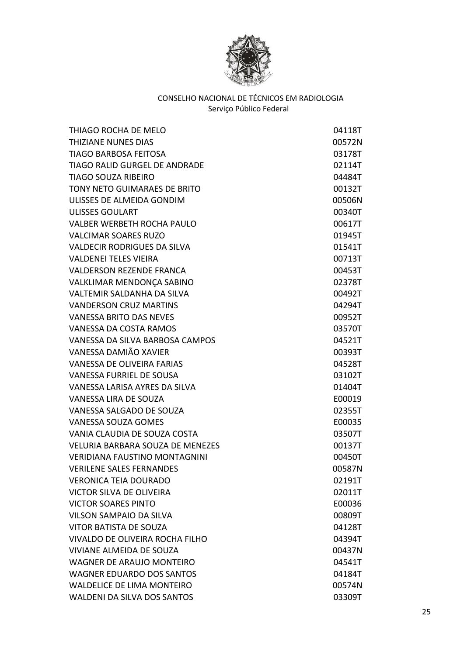

| THIAGO ROCHA DE MELO                    | 04118T |
|-----------------------------------------|--------|
| THIZIANE NUNES DIAS                     | 00572N |
| <b>TIAGO BARBOSA FEITOSA</b>            | 03178T |
| <b>TIAGO RALID GURGEL DE ANDRADE</b>    | 02114T |
| <b>TIAGO SOUZA RIBEIRO</b>              | 04484T |
| TONY NETO GUIMARAES DE BRITO            | 00132T |
| ULISSES DE ALMEIDA GONDIM               | 00506N |
| <b>ULISSES GOULART</b>                  | 00340T |
| <b>VALBER WERBETH ROCHA PAULO</b>       | 00617T |
| <b>VALCIMAR SOARES RUZO</b>             | 01945T |
| <b>VALDECIR RODRIGUES DA SILVA</b>      | 01541T |
| <b>VALDENEI TELES VIEIRA</b>            | 00713T |
| <b>VALDERSON REZENDE FRANCA</b>         | 00453T |
| VALKLIMAR MENDONÇA SABINO               | 02378T |
| VALTEMIR SALDANHA DA SILVA              | 00492T |
| <b>VANDERSON CRUZ MARTINS</b>           | 04294T |
| <b>VANESSA BRITO DAS NEVES</b>          | 00952T |
| VANESSA DA COSTA RAMOS                  | 03570T |
| VANESSA DA SILVA BARBOSA CAMPOS         | 04521T |
| VANESSA DAMIÃO XAVIER                   | 00393T |
| <b>VANESSA DE OLIVEIRA FARIAS</b>       | 04528T |
| VANESSA FURRIEL DE SOUSA                | 03102T |
| VANESSA LARISA AYRES DA SILVA           | 01404T |
| <b>VANESSA LIRA DE SOUZA</b>            | E00019 |
| VANESSA SALGADO DE SOUZA                | 02355T |
| <b>VANESSA SOUZA GOMES</b>              | E00035 |
| VANIA CLAUDIA DE SOUZA COSTA            | 03507T |
| <b>VELURIA BARBARA SOUZA DE MENEZES</b> | 00137T |
| <b>VERIDIANA FAUSTINO MONTAGNINI</b>    | 00450T |
| <b>VERILENE SALES FERNANDES</b>         | 00587N |
| <b>VERONICA TEIA DOURADO</b>            | 02191T |
| <b>VICTOR SILVA DE OLIVEIRA</b>         | 02011T |
| <b>VICTOR SOARES PINTO</b>              | E00036 |
| <b>VILSON SAMPAIO DA SILVA</b>          | 00809T |
| <b>VITOR BATISTA DE SOUZA</b>           | 04128T |
| VIVALDO DE OLIVEIRA ROCHA FILHO         | 04394T |
| <b>VIVIANE ALMEIDA DE SOUZA</b>         | 00437N |
| <b>WAGNER DE ARAUJO MONTEIRO</b>        | 04541T |
| <b>WAGNER EDUARDO DOS SANTOS</b>        | 04184T |
| <b>WALDELICE DE LIMA MONTEIRO</b>       | 00574N |
| <b>WALDENI DA SILVA DOS SANTOS</b>      | 03309T |